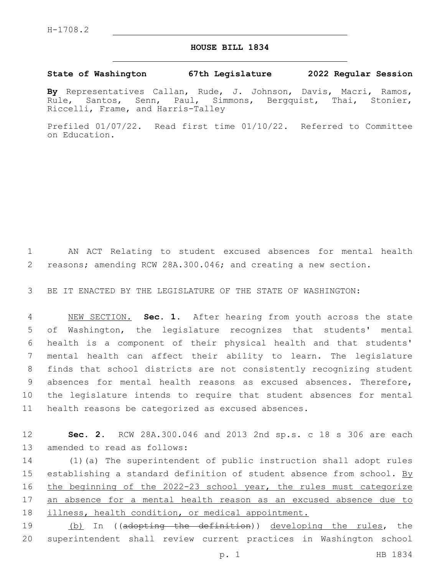## **HOUSE BILL 1834**

## **State of Washington 67th Legislature 2022 Regular Session**

**By** Representatives Callan, Rude, J. Johnson, Davis, Macri, Ramos, Rule, Santos, Senn, Paul, Simmons, Bergquist, Thai, Stonier, Riccelli, Frame, and Harris-Talley

Prefiled 01/07/22. Read first time 01/10/22. Referred to Committee on Education.

1 AN ACT Relating to student excused absences for mental health 2 reasons; amending RCW 28A.300.046; and creating a new section.

3 BE IT ENACTED BY THE LEGISLATURE OF THE STATE OF WASHINGTON:

 NEW SECTION. **Sec. 1.** After hearing from youth across the state of Washington, the legislature recognizes that students' mental health is a component of their physical health and that students' mental health can affect their ability to learn. The legislature finds that school districts are not consistently recognizing student absences for mental health reasons as excused absences. Therefore, the legislature intends to require that student absences for mental health reasons be categorized as excused absences.

12 **Sec. 2.** RCW 28A.300.046 and 2013 2nd sp.s. c 18 s 306 are each 13 amended to read as follows:

14 (1)(a) The superintendent of public instruction shall adopt rules 15 establishing a standard definition of student absence from school. By 16 the beginning of the 2022-23 school year, the rules must categorize 17 an absence for a mental health reason as an excused absence due to 18 illness, health condition, or medical appointment.

19 (b) In ((adopting the definition)) developing the rules, the 20 superintendent shall review current practices in Washington school

p. 1 HB 1834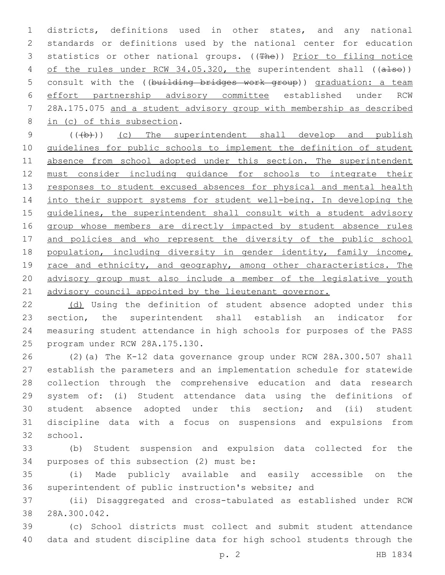1 districts, definitions used in other states, and any national 2 standards or definitions used by the national center for education 3 statistics or other national groups. ((The)) Prior to filing notice 4 of the rules under RCW 34.05.320, the superintendent shall ((also)) 5 consult with the ((building bridges work group)) graduation: a team 6 effort partnership advisory committee established under RCW 7 28A.175.075 and a student advisory group with membership as described 8 in (c) of this subsection.

9 (((b))) (c) The superintendent shall develop and publish 10 guidelines for public schools to implement the definition of student 11 absence from school adopted under this section. The superintendent 12 must consider including guidance for schools to integrate their 13 responses to student excused absences for physical and mental health 14 into their support systems for student well-being. In developing the 15 guidelines, the superintendent shall consult with a student advisory 16 group whose members are directly impacted by student absence rules 17 and policies and who represent the diversity of the public school 18 population, including diversity in gender identity, family income, 19 race and ethnicity, and geography, among other characteristics. The 20 advisory group must also include a member of the legislative youth 21 advisory council appointed by the lieutenant governor.

 (d) Using the definition of student absence adopted under this section, the superintendent shall establish an indicator for measuring student attendance in high schools for purposes of the PASS 25 program under RCW 28A.175.130.

 (2)(a) The K-12 data governance group under RCW 28A.300.507 shall establish the parameters and an implementation schedule for statewide collection through the comprehensive education and data research system of: (i) Student attendance data using the definitions of student absence adopted under this section; and (ii) student discipline data with a focus on suspensions and expulsions from 32 school.

33 (b) Student suspension and expulsion data collected for the 34 purposes of this subsection (2) must be:

35 (i) Made publicly available and easily accessible on the 36 superintendent of public instruction's website; and

37 (ii) Disaggregated and cross-tabulated as established under RCW 38 28A.300.042.

39 (c) School districts must collect and submit student attendance 40 data and student discipline data for high school students through the